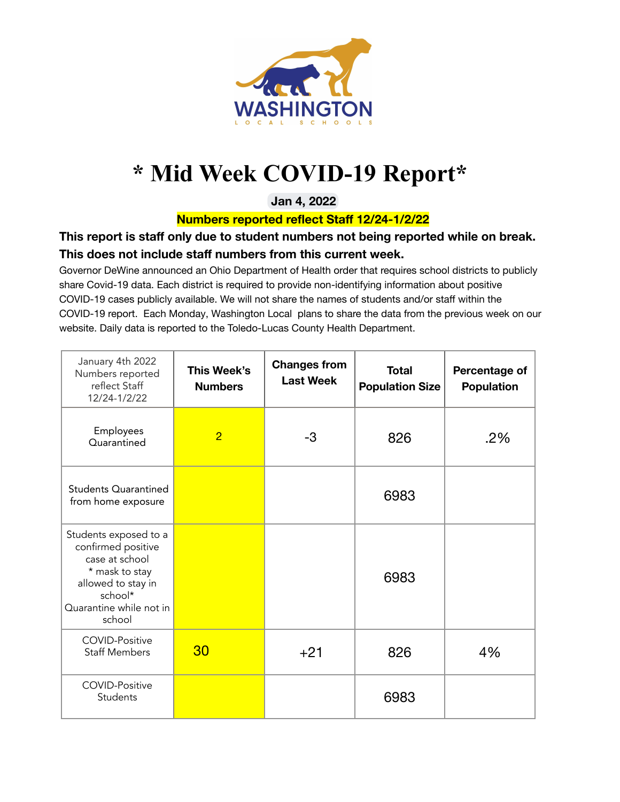

## **\* Mid Week COVID-19 Report\***

**Jan 4, 2022**

**Numbers reported reflect Staff 12/24-1/2/22**

## **This report is staff only due to student numbers not being reported while on break. This does not include staff numbers from this current week.**

Governor DeWine announced an Ohio Department of Health order that requires school districts to publicly share Covid-19 data. Each district is required to provide non-identifying information about positive COVID-19 cases publicly available. We will not share the names of students and/or staff within the COVID-19 report. Each Monday, Washington Local plans to share the data from the previous week on our website. Daily data is reported to the Toledo-Lucas County Health Department.

| January 4th 2022<br>Numbers reported<br>reflect Staff<br>12/24-1/2/22                                                                                 | This Week's<br><b>Numbers</b> | <b>Changes from</b><br><b>Last Week</b> | <b>Total</b><br><b>Population Size</b> | Percentage of<br><b>Population</b> |
|-------------------------------------------------------------------------------------------------------------------------------------------------------|-------------------------------|-----------------------------------------|----------------------------------------|------------------------------------|
| Employees<br>Quarantined                                                                                                                              | $\overline{2}$                | $-3$                                    | 826                                    | $.2\%$                             |
| <b>Students Quarantined</b><br>from home exposure                                                                                                     |                               |                                         | 6983                                   |                                    |
| Students exposed to a<br>confirmed positive<br>case at school<br>* mask to stay<br>allowed to stay in<br>school*<br>Quarantine while not in<br>school |                               |                                         | 6983                                   |                                    |
| <b>COVID-Positive</b><br><b>Staff Members</b>                                                                                                         | 30                            | $+21$                                   | 826                                    | 4%                                 |
| <b>COVID-Positive</b><br>Students                                                                                                                     |                               |                                         | 6983                                   |                                    |